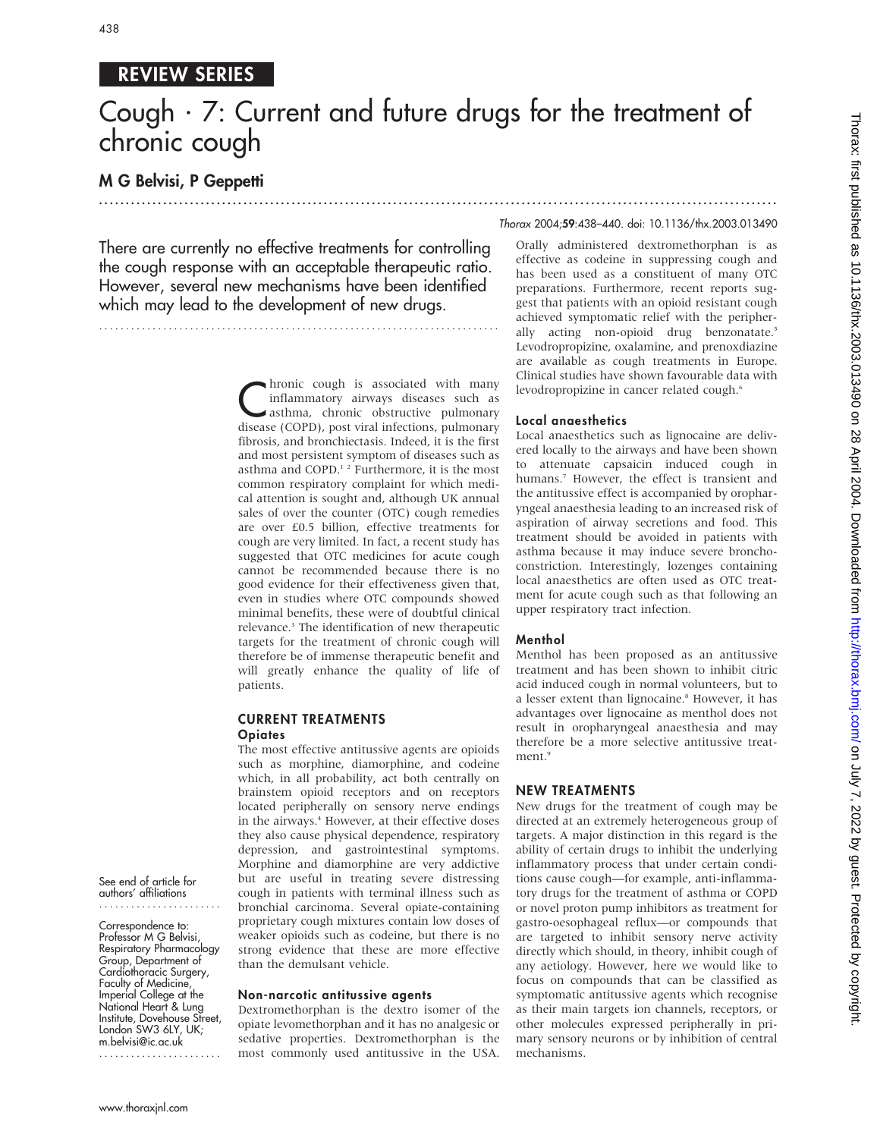## REVIEW SERIES

# Cough  $\cdot$  7: Current and future drugs for the treatment of chronic cough

.............................................................................................................................. .

## M G Belvisi, P Geppetti

There are currently no effective treatments for controlling the cough response with an acceptable therapeutic ratio. However, several new mechanisms have been identified which may lead to the development of new drugs.

...........................................................................

hronic cough is associated with many inflammatory airways diseases such as asthma, chronic obstructive pulmonary disease (COPD), post viral infections, pulmonary fibrosis, and bronchiectasis. Indeed, it is the first and most persistent symptom of diseases such as asthma and COPD.<sup>12</sup> Furthermore, it is the most common respiratory complaint for which medical attention is sought and, although UK annual sales of over the counter (OTC) cough remedies are over £0.5 billion, effective treatments for cough are very limited. In fact, a recent study has suggested that OTC medicines for acute cough cannot be recommended because there is no good evidence for their effectiveness given that, even in studies where OTC compounds showed minimal benefits, these were of doubtful clinical relevance.<sup>3</sup> The identification of new therapeutic targets for the treatment of chronic cough will therefore be of immense therapeutic benefit and will greatly enhance the quality of life of patients.

#### CURRENT TREATMENTS **Opiates**

The most effective antitussive agents are opioids such as morphine, diamorphine, and codeine which, in all probability, act both centrally on brainstem opioid receptors and on receptors located peripherally on sensory nerve endings in the airways.<sup>4</sup> However, at their effective doses they also cause physical dependence, respiratory depression, and gastrointestinal symptoms. Morphine and diamorphine are very addictive but are useful in treating severe distressing cough in patients with terminal illness such as bronchial carcinoma. Several opiate-containing proprietary cough mixtures contain low doses of weaker opioids such as codeine, but there is no strong evidence that these are more effective than the demulsant vehicle.

### Non-narcotic antitussive agents

Dextromethorphan is the dextro isomer of the opiate levomethorphan and it has no analgesic or sedative properties. Dextromethorphan is the most commonly used antitussive in the USA.

#### Thorax 2004;59:438–440. doi: 10.1136/thx.2003.013490

Orally administered dextromethorphan is as effective as codeine in suppressing cough and has been used as a constituent of many OTC preparations. Furthermore, recent reports suggest that patients with an opioid resistant cough achieved symptomatic relief with the peripherally acting non-opioid drug benzonatate.<sup>5</sup> Levodropropizine, oxalamine, and prenoxdiazine are available as cough treatments in Europe. Clinical studies have shown favourable data with levodropropizine in cancer related cough.<sup>6</sup>

#### Local anaesthetics

Local anaesthetics such as lignocaine are delivered locally to the airways and have been shown to attenuate capsaicin induced cough in humans.<sup>7</sup> However, the effect is transient and the antitussive effect is accompanied by oropharyngeal anaesthesia leading to an increased risk of aspiration of airway secretions and food. This treatment should be avoided in patients with asthma because it may induce severe bronchoconstriction. Interestingly, lozenges containing local anaesthetics are often used as OTC treatment for acute cough such as that following an upper respiratory tract infection.

#### Menthol

Menthol has been proposed as an antitussive treatment and has been shown to inhibit citric acid induced cough in normal volunteers, but to a lesser extent than lignocaine.<sup>8</sup> However, it has advantages over lignocaine as menthol does not result in oropharyngeal anaesthesia and may therefore be a more selective antitussive treatment<sup>9</sup>

#### NEW TREATMENTS

New drugs for the treatment of cough may be directed at an extremely heterogeneous group of targets. A major distinction in this regard is the ability of certain drugs to inhibit the underlying inflammatory process that under certain conditions cause cough—for example, anti-inflammatory drugs for the treatment of asthma or COPD or novel proton pump inhibitors as treatment for gastro-oesophageal reflux—or compounds that are targeted to inhibit sensory nerve activity directly which should, in theory, inhibit cough of any aetiology. However, here we would like to focus on compounds that can be classified as symptomatic antitussive agents which recognise as their main targets ion channels, receptors, or other molecules expressed peripherally in primary sensory neurons or by inhibition of central mechanisms.

See end of article for authors' affiliations ....................... Correspondence to: Professor M G Belvisi Respiratory Pharmacology Group, Department of Cardiothoracic Surgery, Faculty of Medicine, Imperial College at the National Heart & Lung Institute, Dovehouse Street, London SW3 6LY, UK; m.belvisi@ic.ac.uk .......................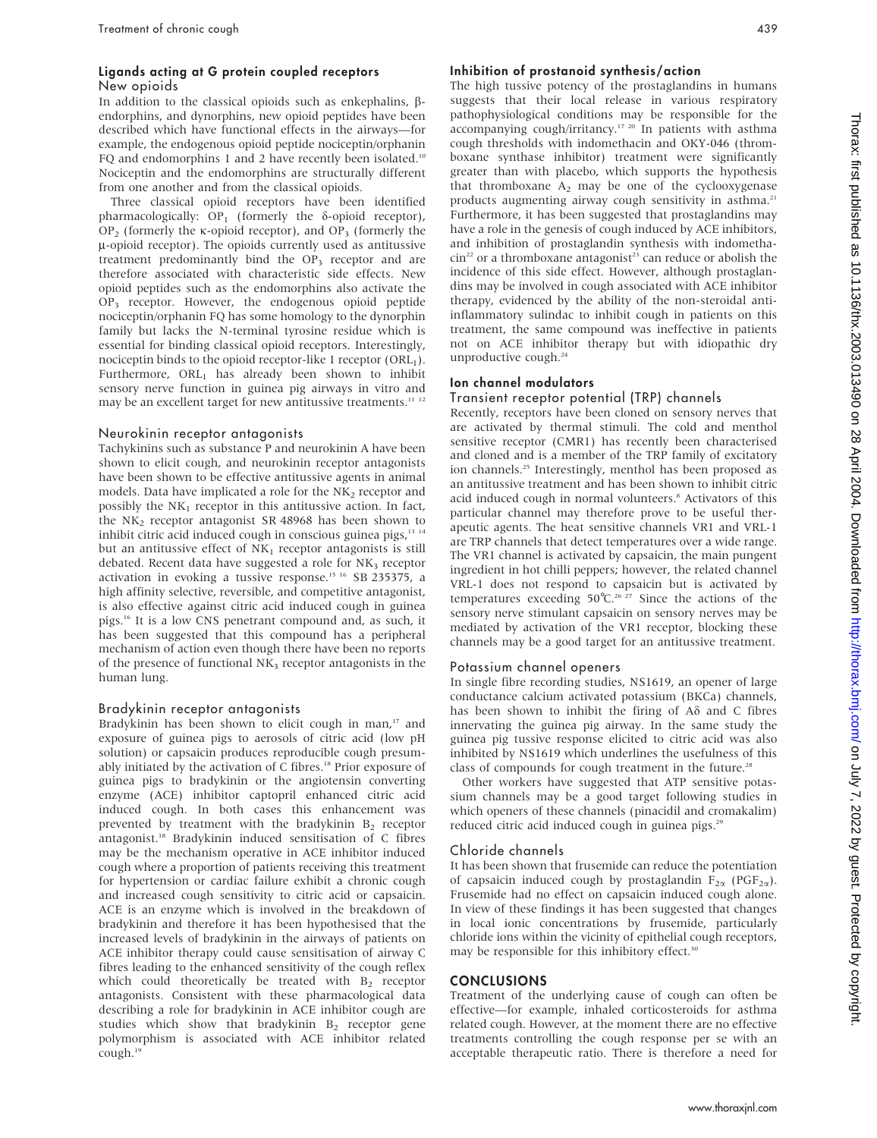#### Ligands acting at G protein coupled receptors New opioids

In addition to the classical opioids such as enkephalins,  $\beta$ endorphins, and dynorphins, new opioid peptides have been described which have functional effects in the airways—for example, the endogenous opioid peptide nociceptin/orphanin FQ and endomorphins 1 and 2 have recently been isolated.<sup>10</sup> Nociceptin and the endomorphins are structurally different from one another and from the classical opioids.

Three classical opioid receptors have been identified pharmacologically:  $OP_1$  (formerly the  $\delta$ -opioid receptor), OP<sub>2</sub> (formerly the  $\kappa$ -opioid receptor), and OP<sub>3</sub> (formerly the  $\mu$ -opioid receptor). The opioids currently used as antitussive treatment predominantly bind the OP<sub>3</sub> receptor and are therefore associated with characteristic side effects. New opioid peptides such as the endomorphins also activate the OP3 receptor. However, the endogenous opioid peptide nociceptin/orphanin FQ has some homology to the dynorphin family but lacks the N-terminal tyrosine residue which is essential for binding classical opioid receptors. Interestingly, nociceptin binds to the opioid receptor-like 1 receptor  $(ORL<sub>1</sub>)$ . Furthermore, ORL1 has already been shown to inhibit sensory nerve function in guinea pig airways in vitro and may be an excellent target for new antitussive treatments.<sup>11</sup> <sup>12</sup>

#### Neurokinin receptor antagonists

Tachykinins such as substance P and neurokinin A have been shown to elicit cough, and neurokinin receptor antagonists have been shown to be effective antitussive agents in animal models. Data have implicated a role for the  $NK<sub>2</sub>$  receptor and possibly the  $NK<sub>1</sub>$  receptor in this antitussive action. In fact, the NK<sub>2</sub> receptor antagonist SR 48968 has been shown to inhibit citric acid induced cough in conscious guinea pigs,<sup>13 14</sup> but an antitussive effect of  $NK<sub>1</sub>$  receptor antagonists is still debated. Recent data have suggested a role for NK<sub>3</sub> receptor activation in evoking a tussive response.<sup>15 16</sup> SB 235375, a high affinity selective, reversible, and competitive antagonist, is also effective against citric acid induced cough in guinea pigs.16 It is a low CNS penetrant compound and, as such, it has been suggested that this compound has a peripheral mechanism of action even though there have been no reports of the presence of functional  $NK<sub>3</sub>$  receptor antagonists in the human lung.

#### Bradykinin receptor antagonists

Bradykinin has been shown to elicit cough in man, $17$  and exposure of guinea pigs to aerosols of citric acid (low pH solution) or capsaicin produces reproducible cough presumably initiated by the activation of C fibres.<sup>18</sup> Prior exposure of guinea pigs to bradykinin or the angiotensin converting enzyme (ACE) inhibitor captopril enhanced citric acid induced cough. In both cases this enhancement was prevented by treatment with the bradykinin  $B_2$  receptor antagonist.18 Bradykinin induced sensitisation of C fibres may be the mechanism operative in ACE inhibitor induced cough where a proportion of patients receiving this treatment for hypertension or cardiac failure exhibit a chronic cough and increased cough sensitivity to citric acid or capsaicin. ACE is an enzyme which is involved in the breakdown of bradykinin and therefore it has been hypothesised that the increased levels of bradykinin in the airways of patients on ACE inhibitor therapy could cause sensitisation of airway C fibres leading to the enhanced sensitivity of the cough reflex which could theoretically be treated with  $B_2$  receptor antagonists. Consistent with these pharmacological data describing a role for bradykinin in ACE inhibitor cough are studies which show that bradykinin  $B<sub>2</sub>$  receptor gene polymorphism is associated with ACE inhibitor related cough.19

#### Inhibition of prostanoid synthesis/action

The high tussive potency of the prostaglandins in humans suggests that their local release in various respiratory pathophysiological conditions may be responsible for the accompanying cough/irritancy.17 20 In patients with asthma cough thresholds with indomethacin and OKY-046 (thromboxane synthase inhibitor) treatment were significantly greater than with placebo, which supports the hypothesis that thromboxane  $A_2$  may be one of the cyclooxygenase products augmenting airway cough sensitivity in asthma.<sup>21</sup> Furthermore, it has been suggested that prostaglandins may have a role in the genesis of cough induced by ACE inhibitors, and inhibition of prostaglandin synthesis with indometha- $\sin^{22}$  or a thromboxane antagonist<sup>23</sup> can reduce or abolish the incidence of this side effect. However, although prostaglandins may be involved in cough associated with ACE inhibitor therapy, evidenced by the ability of the non-steroidal antiinflammatory sulindac to inhibit cough in patients on this treatment, the same compound was ineffective in patients not on ACE inhibitor therapy but with idiopathic dry unproductive cough.<sup>24</sup>

#### Ion channel modulators

#### Transient receptor potential (TRP) channels

Recently, receptors have been cloned on sensory nerves that are activated by thermal stimuli. The cold and menthol sensitive receptor (CMR1) has recently been characterised and cloned and is a member of the TRP family of excitatory ion channels.25 Interestingly, menthol has been proposed as an antitussive treatment and has been shown to inhibit citric acid induced cough in normal volunteers.<sup>8</sup> Activators of this particular channel may therefore prove to be useful therapeutic agents. The heat sensitive channels VR1 and VRL-1 are TRP channels that detect temperatures over a wide range. The VR1 channel is activated by capsaicin, the main pungent ingredient in hot chilli peppers; however, the related channel VRL-1 does not respond to capsaicin but is activated by temperatures exceeding  $50^{\circ}$ C.<sup>26-27</sup> Since the actions of the sensory nerve stimulant capsaicin on sensory nerves may be mediated by activation of the VR1 receptor, blocking these channels may be a good target for an antitussive treatment.

#### Potassium channel openers

In single fibre recording studies, NS1619, an opener of large conductance calcium activated potassium (BKCa) channels, has been shown to inhibit the firing of  $A\delta$  and C fibres innervating the guinea pig airway. In the same study the guinea pig tussive response elicited to citric acid was also inhibited by NS1619 which underlines the usefulness of this class of compounds for cough treatment in the future.<sup>28</sup>

Other workers have suggested that ATP sensitive potassium channels may be a good target following studies in which openers of these channels (pinacidil and cromakalim) reduced citric acid induced cough in guinea pigs.<sup>29</sup>

#### Chloride channels

It has been shown that frusemide can reduce the potentiation of capsaicin induced cough by prostaglandin  $F_{2\alpha}$  (PGF<sub>2 $\alpha$ </sub>). Frusemide had no effect on capsaicin induced cough alone. In view of these findings it has been suggested that changes in local ionic concentrations by frusemide, particularly chloride ions within the vicinity of epithelial cough receptors, may be responsible for this inhibitory effect.<sup>30</sup>

#### CONCLUSIONS

Treatment of the underlying cause of cough can often be effective—for example, inhaled corticosteroids for asthma related cough. However, at the moment there are no effective treatments controlling the cough response per se with an acceptable therapeutic ratio. There is therefore a need for